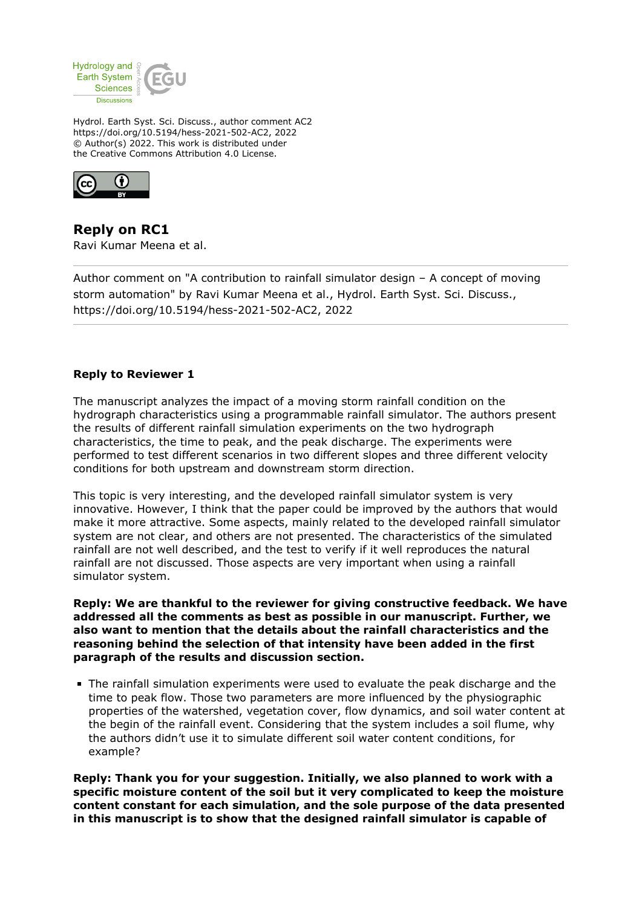

Hydrol. Earth Syst. Sci. Discuss., author comment AC2 https://doi.org/10.5194/hess-2021-502-AC2, 2022 © Author(s) 2022. This work is distributed under the Creative Commons Attribution 4.0 License.



**Reply on RC1** Ravi Kumar Meena et al.

Author comment on "A contribution to rainfall simulator design – A concept of moving storm automation" by Ravi Kumar Meena et al., Hydrol. Earth Syst. Sci. Discuss., https://doi.org/10.5194/hess-2021-502-AC2, 2022

# **Reply to Reviewer 1**

The manuscript analyzes the impact of a moving storm rainfall condition on the hydrograph characteristics using a programmable rainfall simulator. The authors present the results of different rainfall simulation experiments on the two hydrograph characteristics, the time to peak, and the peak discharge. The experiments were performed to test different scenarios in two different slopes and three different velocity conditions for both upstream and downstream storm direction.

This topic is very interesting, and the developed rainfall simulator system is very innovative. However, I think that the paper could be improved by the authors that would make it more attractive. Some aspects, mainly related to the developed rainfall simulator system are not clear, and others are not presented. The characteristics of the simulated rainfall are not well described, and the test to verify if it well reproduces the natural rainfall are not discussed. Those aspects are very important when using a rainfall simulator system.

**Reply: We are thankful to the reviewer for giving constructive feedback. We have addressed all the comments as best as possible in our manuscript. Further, we also want to mention that the details about the rainfall characteristics and the reasoning behind the selection of that intensity have been added in the first paragraph of the results and discussion section.**

The rainfall simulation experiments were used to evaluate the peak discharge and the time to peak flow. Those two parameters are more influenced by the physiographic properties of the watershed, vegetation cover, flow dynamics, and soil water content at the begin of the rainfall event. Considering that the system includes a soil flume, why the authors didn't use it to simulate different soil water content conditions, for example?

**Reply: Thank you for your suggestion. Initially, we also planned to work with a specific moisture content of the soil but it very complicated to keep the moisture content constant for each simulation, and the sole purpose of the data presented in this manuscript is to show that the designed rainfall simulator is capable of**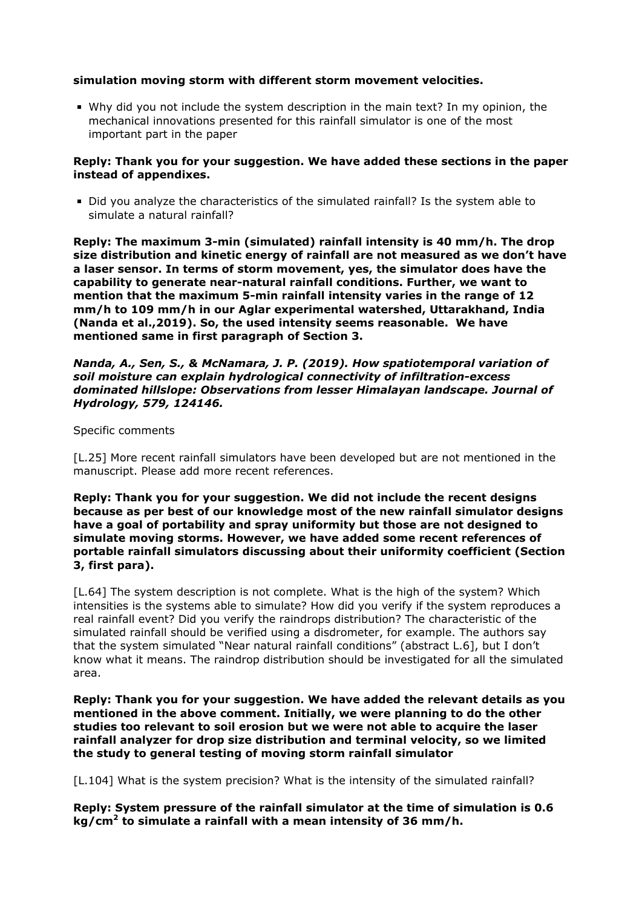# **simulation moving storm with different storm movement velocities.**

Why did you not include the system description in the main text? In my opinion, the mechanical innovations presented for this rainfall simulator is one of the most important part in the paper

# **Reply: Thank you for your suggestion. We have added these sections in the paper instead of appendixes.**

Did you analyze the characteristics of the simulated rainfall? Is the system able to simulate a natural rainfall?

**Reply: The maximum 3-min (simulated) rainfall intensity is 40 mm/h. The drop size distribution and kinetic energy of rainfall are not measured as we don't have a laser sensor. In terms of storm movement, yes, the simulator does have the capability to generate near-natural rainfall conditions. Further, we want to mention that the maximum 5-min rainfall intensity varies in the range of 12 mm/h to 109 mm/h in our Aglar experimental watershed, Uttarakhand, India (Nanda et al.,2019). So, the used intensity seems reasonable. We have mentioned same in first paragraph of Section 3.** 

### *Nanda, A., Sen, S., & McNamara, J. P. (2019). How spatiotemporal variation of soil moisture can explain hydrological connectivity of infiltration-excess dominated hillslope: Observations from lesser Himalayan landscape. Journal of Hydrology, 579, 124146.*

### Specific comments

[L.25] More recent rainfall simulators have been developed but are not mentioned in the manuscript. Please add more recent references.

**Reply: Thank you for your suggestion. We did not include the recent designs because as per best of our knowledge most of the new rainfall simulator designs have a goal of portability and spray uniformity but those are not designed to simulate moving storms. However, we have added some recent references of portable rainfall simulators discussing about their uniformity coefficient (Section 3, first para).** 

[L.64] The system description is not complete. What is the high of the system? Which intensities is the systems able to simulate? How did you verify if the system reproduces a real rainfall event? Did you verify the raindrops distribution? The characteristic of the simulated rainfall should be verified using a disdrometer, for example. The authors say that the system simulated "Near natural rainfall conditions" (abstract L.6], but I don't know what it means. The raindrop distribution should be investigated for all the simulated area.

**Reply: Thank you for your suggestion. We have added the relevant details as you mentioned in the above comment. Initially, we were planning to do the other studies too relevant to soil erosion but we were not able to acquire the laser rainfall analyzer for drop size distribution and terminal velocity, so we limited the study to general testing of moving storm rainfall simulator**

[L.104] What is the system precision? What is the intensity of the simulated rainfall?

**Reply: System pressure of the rainfall simulator at the time of simulation is 0.6 kg/cm<sup>2</sup> to simulate a rainfall with a mean intensity of 36 mm/h.**